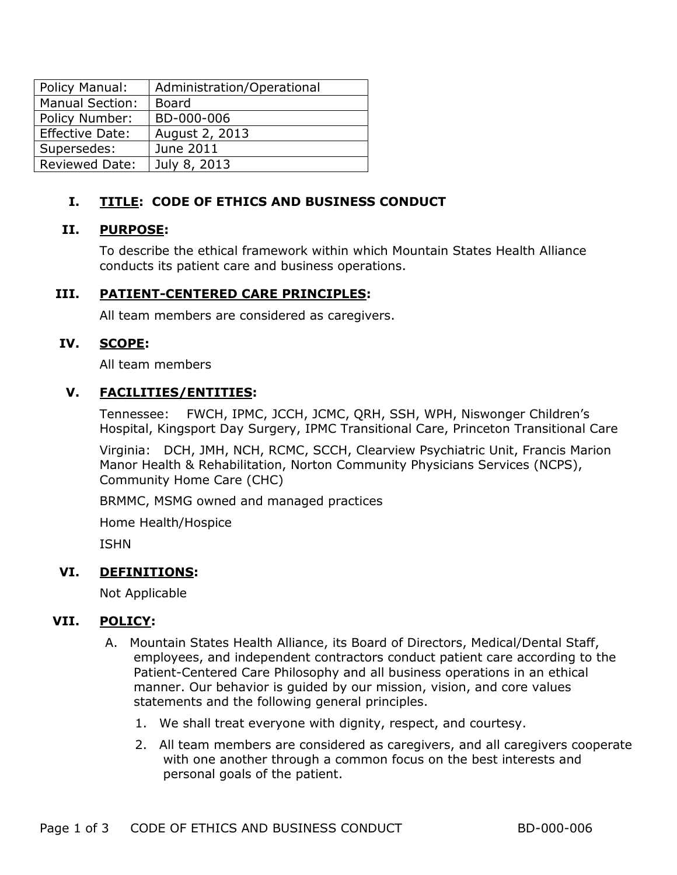| Policy Manual:         | Administration/Operational |
|------------------------|----------------------------|
| <b>Manual Section:</b> | <b>Board</b>               |
| Policy Number:         | BD-000-006                 |
| Effective Date:        | August 2, 2013             |
| Supersedes:            | June 2011                  |
| <b>Reviewed Date:</b>  | July 8, 2013               |

# **I. TITLE: CODE OF ETHICS AND BUSINESS CONDUCT**

# **II. PURPOSE:**

To describe the ethical framework within which Mountain States Health Alliance conducts its patient care and business operations.

# **III. PATIENT-CENTERED CARE PRINCIPLES:**

All team members are considered as caregivers.

## **IV. SCOPE:**

All team members

## **V. FACILITIES/ENTITIES:**

Tennessee: FWCH, IPMC, JCCH, JCMC, QRH, SSH, WPH, Niswonger Children's Hospital, Kingsport Day Surgery, IPMC Transitional Care, Princeton Transitional Care

Virginia: DCH, JMH, NCH, RCMC, SCCH, Clearview Psychiatric Unit, Francis Marion Manor Health & Rehabilitation, Norton Community Physicians Services (NCPS), Community Home Care (CHC)

BRMMC, MSMG owned and managed practices

Home Health/Hospice

ISHN

# **VI. DEFINITIONS:**

Not Applicable

## **VII. POLICY:**

- A. Mountain States Health Alliance, its Board of Directors, Medical/Dental Staff, employees, and independent contractors conduct patient care according to the Patient-Centered Care Philosophy and all business operations in an ethical manner. Our behavior is guided by our mission, vision, and core values statements and the following general principles.
	- 1. We shall treat everyone with dignity, respect, and courtesy.
	- 2. All team members are considered as caregivers, and all caregivers cooperate with one another through a common focus on the best interests and personal goals of the patient.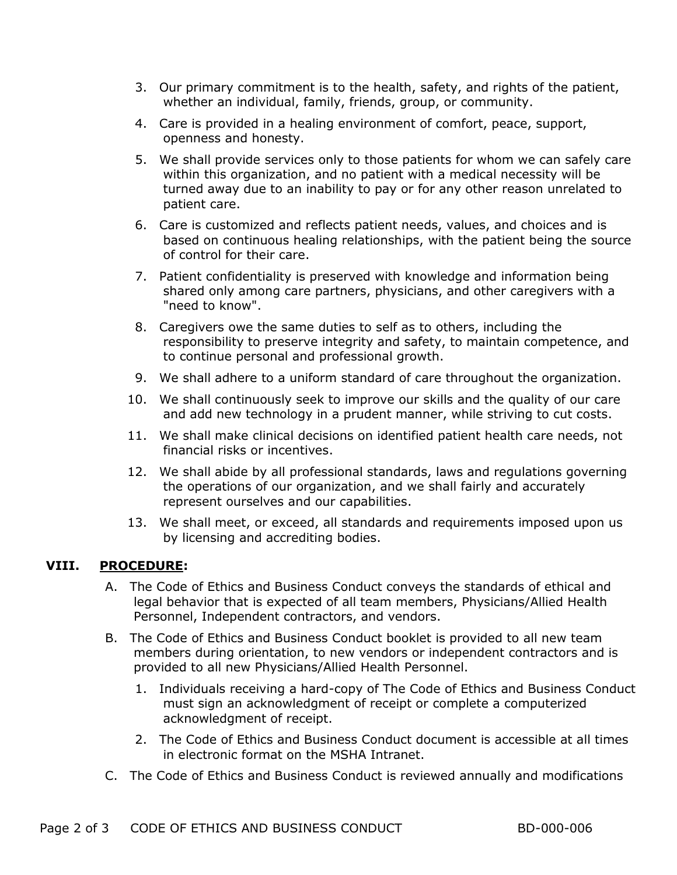- 3. Our primary commitment is to the health, safety, and rights of the patient, whether an individual, family, friends, group, or community.
- 4. Care is provided in a healing environment of comfort, peace, support, openness and honesty.
- 5. We shall provide services only to those patients for whom we can safely care within this organization, and no patient with a medical necessity will be turned away due to an inability to pay or for any other reason unrelated to patient care.
- 6. Care is customized and reflects patient needs, values, and choices and is based on continuous healing relationships, with the patient being the source of control for their care.
- 7. Patient confidentiality is preserved with knowledge and information being shared only among care partners, physicians, and other caregivers with a "need to know".
- 8. Caregivers owe the same duties to self as to others, including the responsibility to preserve integrity and safety, to maintain competence, and to continue personal and professional growth.
- 9. We shall adhere to a uniform standard of care throughout the organization.
- 10. We shall continuously seek to improve our skills and the quality of our care and add new technology in a prudent manner, while striving to cut costs.
- 11. We shall make clinical decisions on identified patient health care needs, not financial risks or incentives.
- 12. We shall abide by all professional standards, laws and regulations governing the operations of our organization, and we shall fairly and accurately represent ourselves and our capabilities.
- 13. We shall meet, or exceed, all standards and requirements imposed upon us by licensing and accrediting bodies.

## **VIII. PROCEDURE:**

- A. The Code of Ethics and Business Conduct conveys the standards of ethical and legal behavior that is expected of all team members, Physicians/Allied Health Personnel, Independent contractors, and vendors.
- B. The Code of Ethics and Business Conduct booklet is provided to all new team members during orientation, to new vendors or independent contractors and is provided to all new Physicians/Allied Health Personnel.
	- 1. Individuals receiving a hard-copy of The Code of Ethics and Business Conduct must sign an acknowledgment of receipt or complete a computerized acknowledgment of receipt.
	- 2. The Code of Ethics and Business Conduct document is accessible at all times in electronic format on the MSHA Intranet.
- C. The Code of Ethics and Business Conduct is reviewed annually and modifications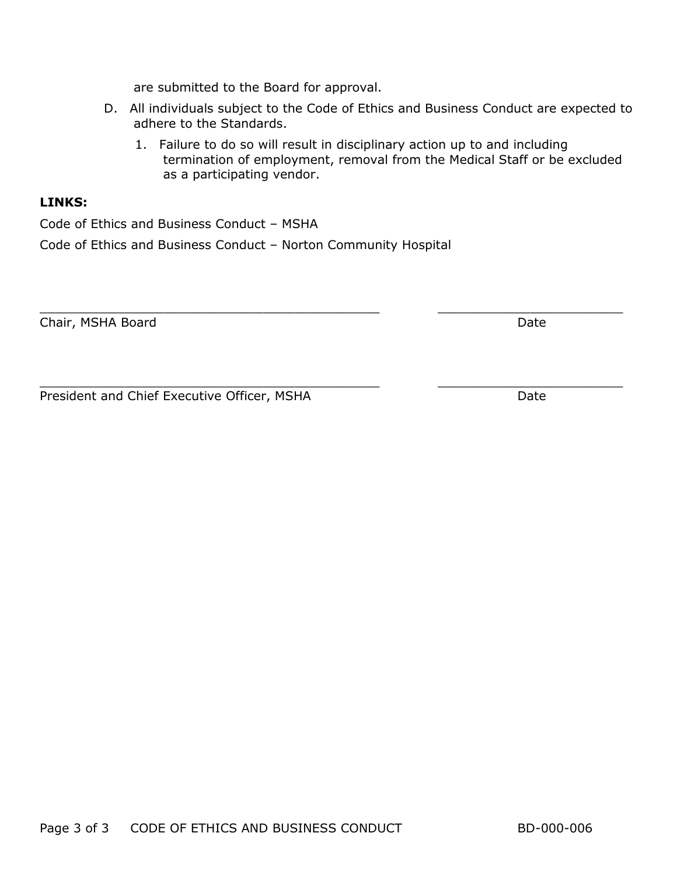are submitted to the Board for approval.

- D. All individuals subject to the Code of Ethics and Business Conduct are expected to adhere to the Standards.
	- 1. Failure to do so will result in disciplinary action up to and including termination of employment, removal from the Medical Staff or be excluded as a participating vendor.

## **LINKS:**

Code of Ethics and Business Conduct – MSHA

Code of Ethics and Business Conduct – Norton Community Hospital

Chair, MSHA Board Date Date Date Date Date Date Date

 $\_$  , and the set of the set of the set of the set of the set of the set of the set of the set of the set of the set of the set of the set of the set of the set of the set of the set of the set of the set of the set of th President and Chief Executive Officer, MSHA Date Date

 $\_$  , and the set of the set of the set of the set of the set of the set of the set of the set of the set of the set of the set of the set of the set of the set of the set of the set of the set of the set of the set of th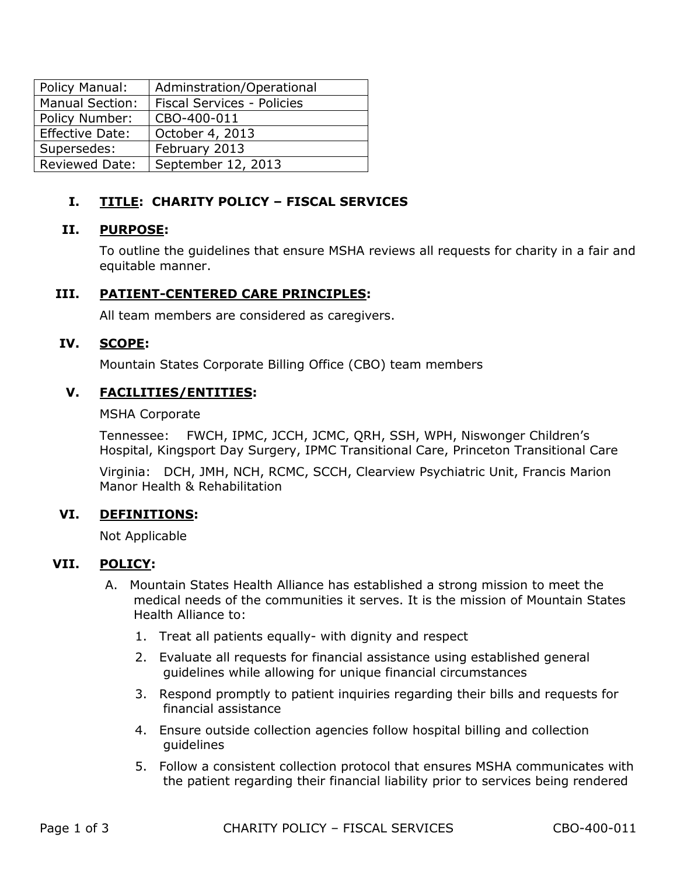| Policy Manual:         | Adminstration/Operational  |
|------------------------|----------------------------|
| <b>Manual Section:</b> | Fiscal Services - Policies |
| Policy Number:         | CBO-400-011                |
| Effective Date:        | October 4, 2013            |
| Supersedes:            | February 2013              |
| <b>Reviewed Date:</b>  | September 12, 2013         |

# **I. TITLE: CHARITY POLICY – FISCAL SERVICES**

## **II. PURPOSE:**

To outline the guidelines that ensure MSHA reviews all requests for charity in a fair and equitable manner.

## **III. PATIENT-CENTERED CARE PRINCIPLES:**

All team members are considered as caregivers.

## **IV. SCOPE:**

Mountain States Corporate Billing Office (CBO) team members

## **V. FACILITIES/ENTITIES:**

#### MSHA Corporate

Tennessee: FWCH, IPMC, JCCH, JCMC, QRH, SSH, WPH, Niswonger Children's Hospital, Kingsport Day Surgery, IPMC Transitional Care, Princeton Transitional Care

Virginia: DCH, JMH, NCH, RCMC, SCCH, Clearview Psychiatric Unit, Francis Marion Manor Health & Rehabilitation

## **VI. DEFINITIONS:**

Not Applicable

## **VII. POLICY:**

- A. Mountain States Health Alliance has established a strong mission to meet the medical needs of the communities it serves. It is the mission of Mountain States Health Alliance to:
	- 1. Treat all patients equally- with dignity and respect
	- 2. Evaluate all requests for financial assistance using established general guidelines while allowing for unique financial circumstances
	- 3. Respond promptly to patient inquiries regarding their bills and requests for financial assistance
	- 4. Ensure outside collection agencies follow hospital billing and collection guidelines
	- 5. Follow a consistent collection protocol that ensures MSHA communicates with the patient regarding their financial liability prior to services being rendered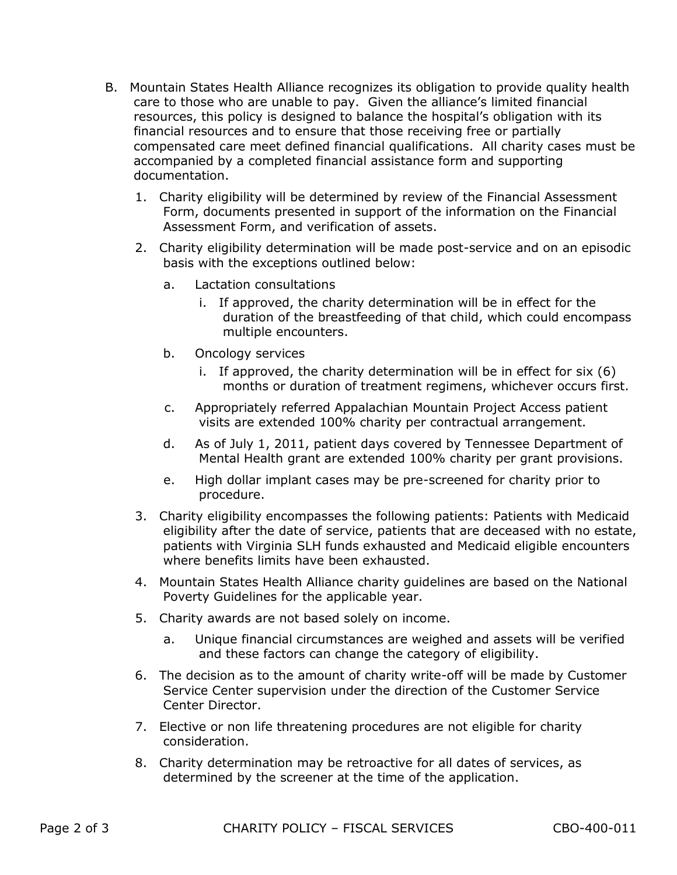- B. Mountain States Health Alliance recognizes its obligation to provide quality health care to those who are unable to pay. Given the alliance's limited financial resources, this policy is designed to balance the hospital's obligation with its financial resources and to ensure that those receiving free or partially compensated care meet defined financial qualifications. All charity cases must be accompanied by a completed financial assistance form and supporting documentation.
	- 1. Charity eligibility will be determined by review of the Financial Assessment Form, documents presented in support of the information on the Financial Assessment Form, and verification of assets.
	- 2. Charity eligibility determination will be made post-service and on an episodic basis with the exceptions outlined below:
		- a. Lactation consultations
			- i. If approved, the charity determination will be in effect for the duration of the breastfeeding of that child, which could encompass multiple encounters.
		- b. Oncology services
			- i. If approved, the charity determination will be in effect for six (6) months or duration of treatment regimens, whichever occurs first.
		- c. Appropriately referred Appalachian Mountain Project Access patient visits are extended 100% charity per contractual arrangement.
		- d. As of July 1, 2011, patient days covered by Tennessee Department of Mental Health grant are extended 100% charity per grant provisions.
		- e. High dollar implant cases may be pre-screened for charity prior to procedure.
	- 3. Charity eligibility encompasses the following patients: Patients with Medicaid eligibility after the date of service, patients that are deceased with no estate, patients with Virginia SLH funds exhausted and Medicaid eligible encounters where benefits limits have been exhausted.
	- 4. Mountain States Health Alliance charity guidelines are based on the National Poverty Guidelines for the applicable year.
	- 5. Charity awards are not based solely on income.
		- a. Unique financial circumstances are weighed and assets will be verified and these factors can change the category of eligibility.
	- 6. The decision as to the amount of charity write-off will be made by Customer Service Center supervision under the direction of the Customer Service Center Director.
	- 7. Elective or non life threatening procedures are not eligible for charity consideration.
	- 8. Charity determination may be retroactive for all dates of services, as determined by the screener at the time of the application.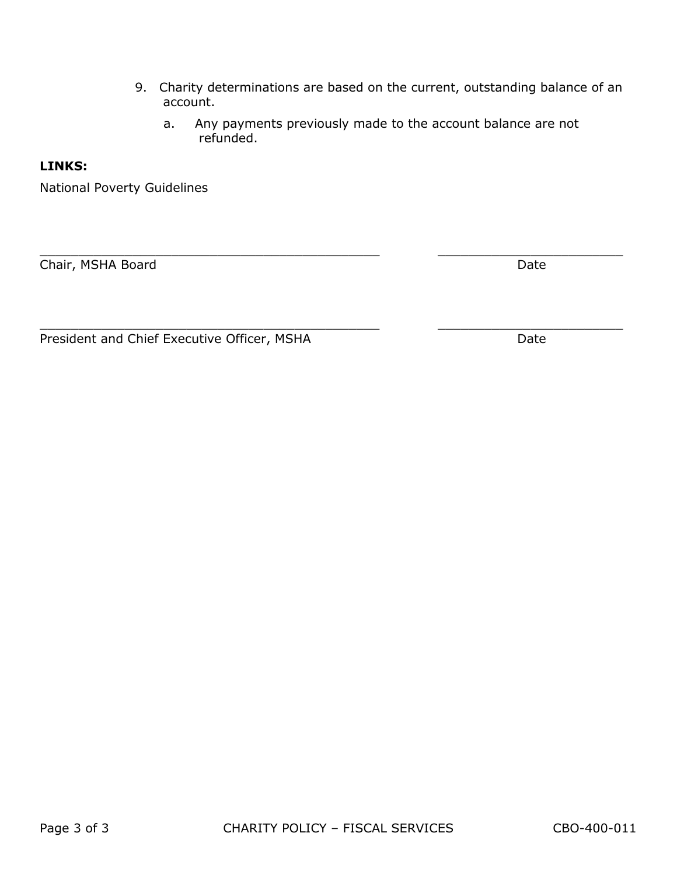- 9. Charity determinations are based on the current, outstanding balance of an account.
	- a. Any payments previously made to the account balance are not refunded.

 $\_$  , and the set of the set of the set of the set of the set of the set of the set of the set of the set of the set of the set of the set of the set of the set of the set of the set of the set of the set of the set of th

 $\_$  , and the set of the set of the set of the set of the set of the set of the set of the set of the set of the set of the set of the set of the set of the set of the set of the set of the set of the set of the set of th

## **LINKS:**

National Poverty Guidelines

Chair, MSHA Board Date Date Date Date Date Date Date

President and Chief Executive Officer, MSHA Date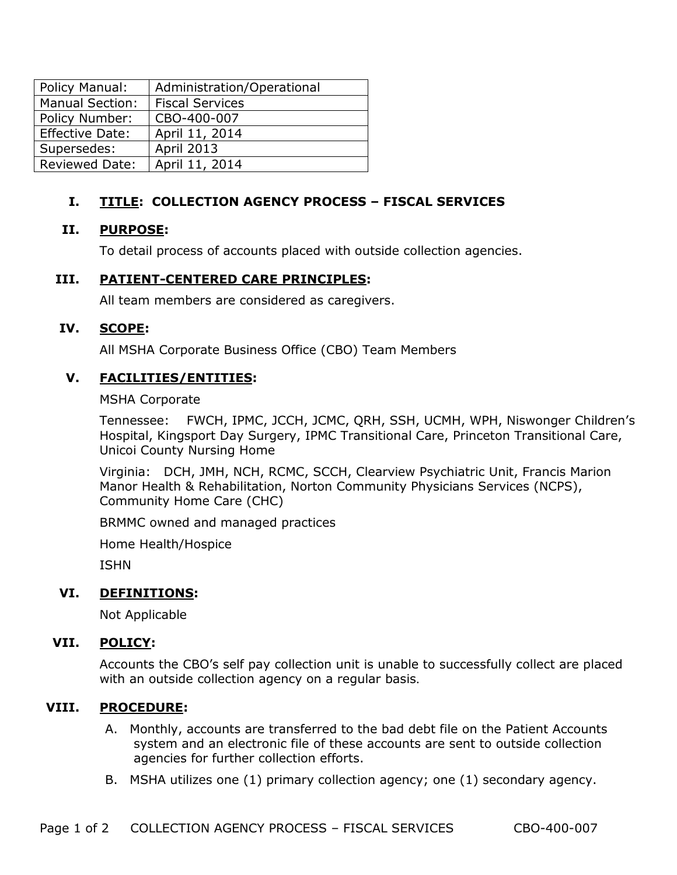| Policy Manual:         | Administration/Operational |
|------------------------|----------------------------|
| <b>Manual Section:</b> | <b>Fiscal Services</b>     |
| Policy Number:         | CBO-400-007                |
| Effective Date:        | April 11, 2014             |
| Supersedes:            | <b>April 2013</b>          |
| <b>Reviewed Date:</b>  | April 11, 2014             |

# **I. TITLE: COLLECTION AGENCY PROCESS – FISCAL SERVICES**

## **II. PURPOSE:**

To detail process of accounts placed with outside collection agencies.

### **III. PATIENT-CENTERED CARE PRINCIPLES:**

All team members are considered as caregivers.

### **IV. SCOPE:**

All MSHA Corporate Business Office (CBO) Team Members

### **V. FACILITIES/ENTITIES:**

#### MSHA Corporate

Tennessee: FWCH, IPMC, JCCH, JCMC, QRH, SSH, UCMH, WPH, Niswonger Children's Hospital, Kingsport Day Surgery, IPMC Transitional Care, Princeton Transitional Care, Unicoi County Nursing Home

Virginia: DCH, JMH, NCH, RCMC, SCCH, Clearview Psychiatric Unit, Francis Marion Manor Health & Rehabilitation, Norton Community Physicians Services (NCPS), Community Home Care (CHC)

BRMMC owned and managed practices

Home Health/Hospice

ISHN

#### **VI. DEFINITIONS:**

Not Applicable

## **VII. POLICY:**

Accounts the CBO's self pay collection unit is unable to successfully collect are placed with an outside collection agency on a regular basis.

#### **VIII. PROCEDURE:**

- A. Monthly, accounts are transferred to the bad debt file on the Patient Accounts system and an electronic file of these accounts are sent to outside collection agencies for further collection efforts.
- B. MSHA utilizes one (1) primary collection agency; one (1) secondary agency.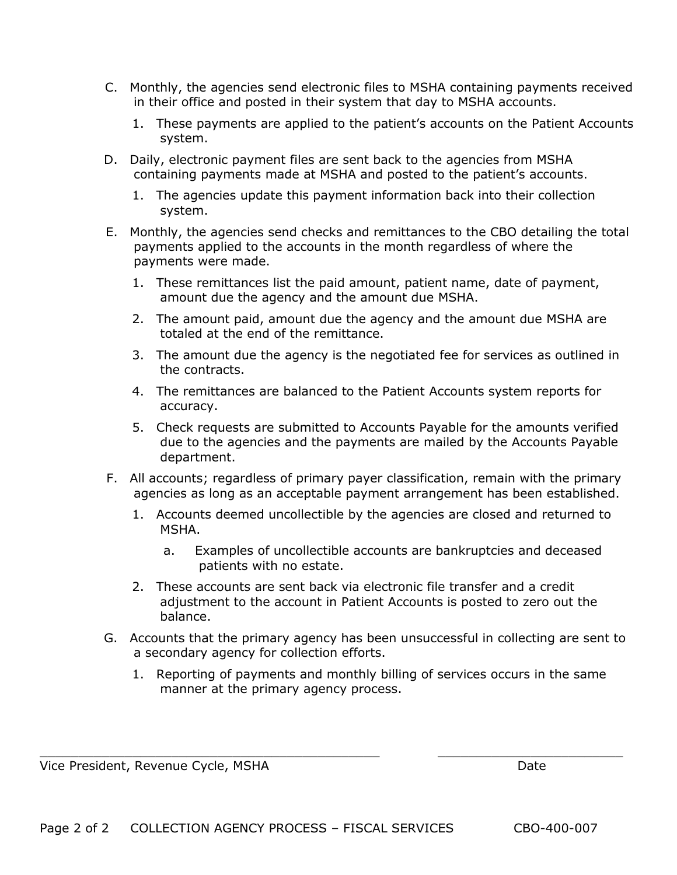- C. Monthly, the agencies send electronic files to MSHA containing payments received in their office and posted in their system that day to MSHA accounts.
	- 1. These payments are applied to the patient's accounts on the Patient Accounts system.
- D. Daily, electronic payment files are sent back to the agencies from MSHA containing payments made at MSHA and posted to the patient's accounts.
	- 1. The agencies update this payment information back into their collection system.
- E. Monthly, the agencies send checks and remittances to the CBO detailing the total payments applied to the accounts in the month regardless of where the payments were made.
	- 1. These remittances list the paid amount, patient name, date of payment, amount due the agency and the amount due MSHA.
	- 2. The amount paid, amount due the agency and the amount due MSHA are totaled at the end of the remittance.
	- 3. The amount due the agency is the negotiated fee for services as outlined in the contracts.
	- 4. The remittances are balanced to the Patient Accounts system reports for accuracy.
	- 5. Check requests are submitted to Accounts Payable for the amounts verified due to the agencies and the payments are mailed by the Accounts Payable department.
- F. All accounts; regardless of primary payer classification, remain with the primary agencies as long as an acceptable payment arrangement has been established.
	- 1. Accounts deemed uncollectible by the agencies are closed and returned to MSHA.
		- a. Examples of uncollectible accounts are bankruptcies and deceased patients with no estate.
	- 2. These accounts are sent back via electronic file transfer and a credit adjustment to the account in Patient Accounts is posted to zero out the balance.
- G. Accounts that the primary agency has been unsuccessful in collecting are sent to a secondary agency for collection efforts.
	- 1. Reporting of payments and monthly billing of services occurs in the same manner at the primary agency process.

 $\_$  , and the contribution of the contribution of  $\overline{\phantom{a}}$  ,  $\overline{\phantom{a}}$  ,  $\overline{\phantom{a}}$  ,  $\overline{\phantom{a}}$  ,  $\overline{\phantom{a}}$  ,  $\overline{\phantom{a}}$  ,  $\overline{\phantom{a}}$  ,  $\overline{\phantom{a}}$  ,  $\overline{\phantom{a}}$  ,  $\overline{\phantom{a}}$  ,  $\overline{\phantom{a}}$  ,  $\overline{\phantom{a}}$  ,  $\over$ 

Vice President, Revenue Cycle, MSHA Date Date Date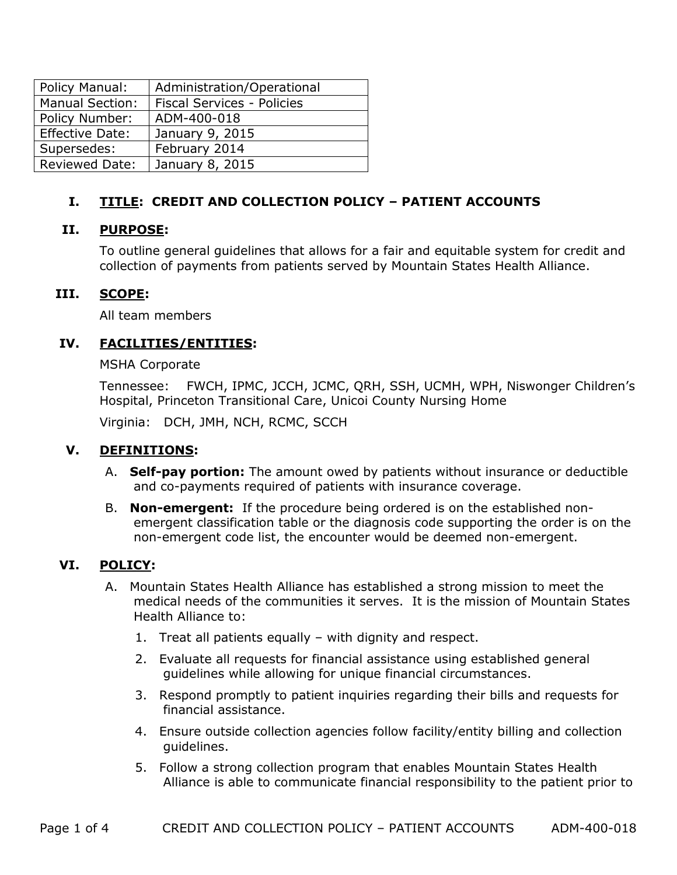| Policy Manual:         | Administration/Operational        |
|------------------------|-----------------------------------|
| <b>Manual Section:</b> | <b>Fiscal Services - Policies</b> |
| Policy Number:         | ADM-400-018                       |
| Effective Date:        | January 9, 2015                   |
| Supersedes:            | February 2014                     |
| <b>Reviewed Date:</b>  | January 8, 2015                   |

# **I. TITLE: CREDIT AND COLLECTION POLICY – PATIENT ACCOUNTS**

# **II. PURPOSE:**

To outline general guidelines that allows for a fair and equitable system for credit and collection of payments from patients served by Mountain States Health Alliance.

## **III. SCOPE:**

All team members

# **IV. FACILITIES/ENTITIES:**

MSHA Corporate

Tennessee: FWCH, IPMC, JCCH, JCMC, QRH, SSH, UCMH, WPH, Niswonger Children's Hospital, Princeton Transitional Care, Unicoi County Nursing Home

Virginia: DCH, JMH, NCH, RCMC, SCCH

# **V. DEFINITIONS:**

- A. **Self-pay portion:** The amount owed by patients without insurance or deductible and co-payments required of patients with insurance coverage.
- B. **Non-emergent:** If the procedure being ordered is on the established nonemergent classification table or the diagnosis code supporting the order is on the non-emergent code list, the encounter would be deemed non-emergent.

# **VI. POLICY:**

- A. Mountain States Health Alliance has established a strong mission to meet the medical needs of the communities it serves. It is the mission of Mountain States Health Alliance to:
	- 1. Treat all patients equally with dignity and respect.
	- 2. Evaluate all requests for financial assistance using established general guidelines while allowing for unique financial circumstances.
	- 3. Respond promptly to patient inquiries regarding their bills and requests for financial assistance.
	- 4. Ensure outside collection agencies follow facility/entity billing and collection guidelines.
	- 5. Follow a strong collection program that enables Mountain States Health Alliance is able to communicate financial responsibility to the patient prior to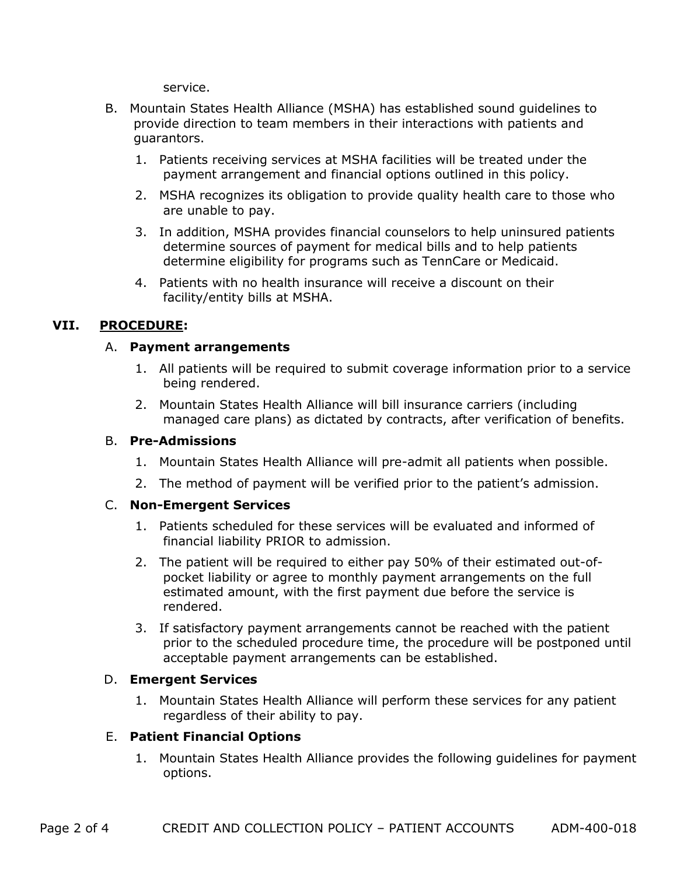service.

- B. Mountain States Health Alliance (MSHA) has established sound guidelines to provide direction to team members in their interactions with patients and guarantors.
	- 1. Patients receiving services at MSHA facilities will be treated under the payment arrangement and financial options outlined in this policy.
	- 2. MSHA recognizes its obligation to provide quality health care to those who are unable to pay.
	- 3. In addition, MSHA provides financial counselors to help uninsured patients determine sources of payment for medical bills and to help patients determine eligibility for programs such as TennCare or Medicaid.
	- 4. Patients with no health insurance will receive a discount on their facility/entity bills at MSHA.

# **VII. PROCEDURE:**

### A. **Payment arrangements**

- 1. All patients will be required to submit coverage information prior to a service being rendered.
- 2. Mountain States Health Alliance will bill insurance carriers (including managed care plans) as dictated by contracts, after verification of benefits.

#### B. **Pre-Admissions**

- 1. Mountain States Health Alliance will pre-admit all patients when possible.
- 2. The method of payment will be verified prior to the patient's admission.

#### C. **Non-Emergent Services**

- 1. Patients scheduled for these services will be evaluated and informed of financial liability PRIOR to admission.
- 2. The patient will be required to either pay 50% of their estimated out-ofpocket liability or agree to monthly payment arrangements on the full estimated amount, with the first payment due before the service is rendered.
- 3. If satisfactory payment arrangements cannot be reached with the patient prior to the scheduled procedure time, the procedure will be postponed until acceptable payment arrangements can be established.

#### D. **Emergent Services**

1. Mountain States Health Alliance will perform these services for any patient regardless of their ability to pay.

## E. **Patient Financial Options**

1. Mountain States Health Alliance provides the following guidelines for payment options.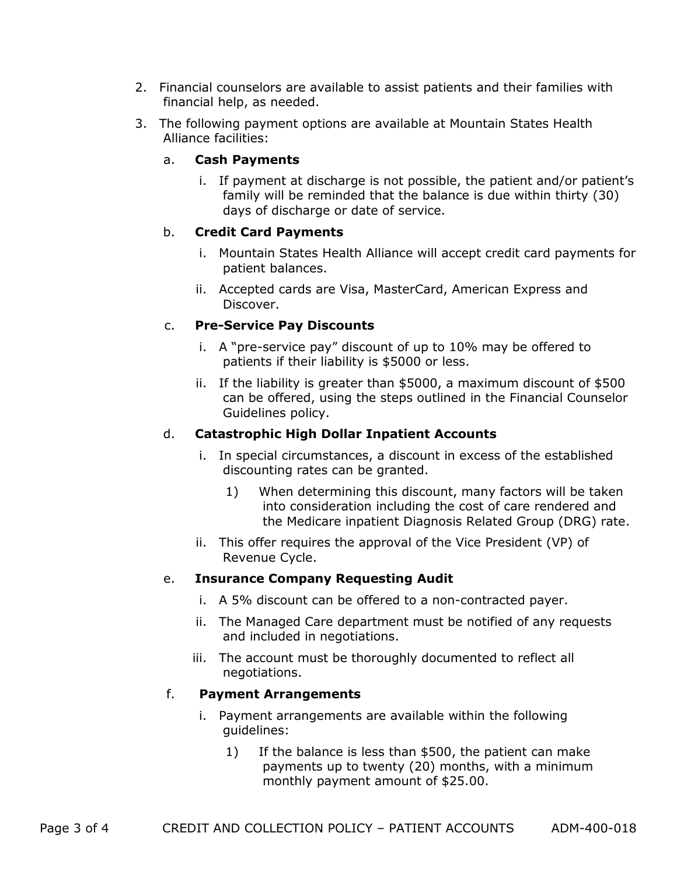- 2. Financial counselors are available to assist patients and their families with financial help, as needed.
- 3. The following payment options are available at Mountain States Health Alliance facilities:

### a. **Cash Payments**

i. If payment at discharge is not possible, the patient and/or patient's family will be reminded that the balance is due within thirty (30) days of discharge or date of service.

## b. **Credit Card Payments**

- i. Mountain States Health Alliance will accept credit card payments for patient balances.
- ii. Accepted cards are Visa, MasterCard, American Express and Discover.

### c. **Pre-Service Pay Discounts**

- i. A "pre-service pay" discount of up to 10% may be offered to patients if their liability is \$5000 or less.
- ii. If the liability is greater than \$5000, a maximum discount of \$500 can be offered, using the steps outlined in the Financial Counselor Guidelines policy.

### d. **Catastrophic High Dollar Inpatient Accounts**

- i. In special circumstances, a discount in excess of the established discounting rates can be granted.
	- 1) When determining this discount, many factors will be taken into consideration including the cost of care rendered and the Medicare inpatient Diagnosis Related Group (DRG) rate.
- ii. This offer requires the approval of the Vice President (VP) of Revenue Cycle.

#### e. **Insurance Company Requesting Audit**

- i. A 5% discount can be offered to a non-contracted payer.
- ii. The Managed Care department must be notified of any requests and included in negotiations.
- iii. The account must be thoroughly documented to reflect all negotiations.

#### f. **Payment Arrangements**

- i. Payment arrangements are available within the following guidelines:
	- 1) If the balance is less than \$500, the patient can make payments up to twenty (20) months, with a minimum monthly payment amount of \$25.00.